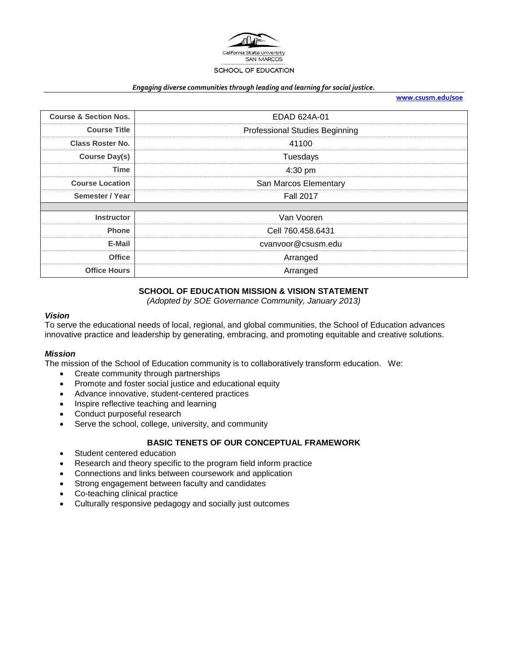

#### *Engaging diverse communities through leading and learning for social justice.*

| www.csusm.edu/soe |  |
|-------------------|--|
|                   |  |

| <b>Course &amp; Section Nos.</b> | EDAD 624A-01                          |
|----------------------------------|---------------------------------------|
| <b>Course Title</b>              | <b>Professional Studies Beginning</b> |
| <b>Class Roster No.</b>          | 41100                                 |
| <b>Course Day(s)</b>             | Tuesdays                              |
| <b>Time</b>                      | 4:30 pm                               |
| <b>Course Location</b>           | San Marcos Elementary                 |
| Semester / Year                  | <b>Fall 2017</b>                      |
|                                  |                                       |
| <b>Instructor</b>                | Van Vooren                            |
| <b>Phone</b>                     | Cell 760.458.6431                     |
| E-Mail                           | cvanvoor@csusm.edu                    |
| <b>Office</b>                    | Arranged                              |
| <b>Office Hours</b>              | Arranged                              |
|                                  |                                       |

### **SCHOOL OF EDUCATION MISSION & VISION STATEMENT**

*(Adopted by SOE Governance Community, January 2013)*

#### *Vision*

To serve the educational needs of local, regional, and global communities, the School of Education advances innovative practice and leadership by generating, embracing, and promoting equitable and creative solutions.

#### *Mission*

The mission of the School of Education community is to collaboratively transform education. We:

- Create community through partnerships
- Promote and foster social justice and educational equity
- Advance innovative, student-centered practices
- Inspire reflective teaching and learning
- Conduct purposeful research
- Serve the school, college, university, and community

## **BASIC TENETS OF OUR CONCEPTUAL FRAMEWORK**

- Student centered education
- Research and theory specific to the program field inform practice
- Connections and links between coursework and application
- Strong engagement between faculty and candidates
- Co-teaching clinical practice
- Culturally responsive pedagogy and socially just outcomes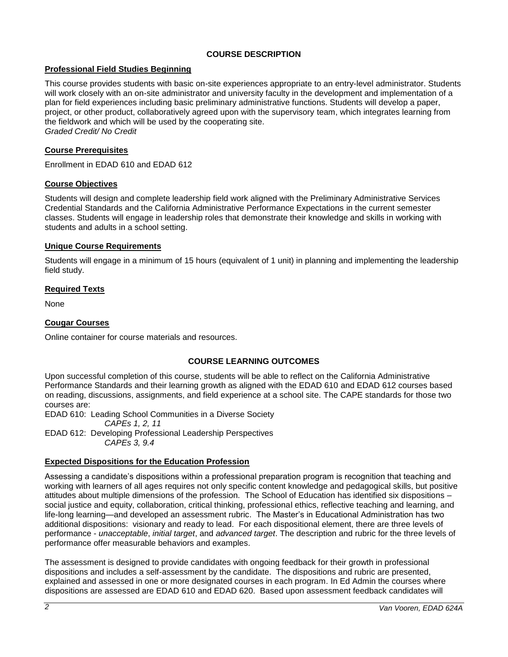# **COURSE DESCRIPTION**

## **Professional Field Studies Beginning**

This course provides students with basic on-site experiences appropriate to an entry-level administrator. Students will work closely with an on-site administrator and university faculty in the development and implementation of a plan for field experiences including basic preliminary administrative functions. Students will develop a paper, project, or other product, collaboratively agreed upon with the supervisory team, which integrates learning from the fieldwork and which will be used by the cooperating site. *Graded Credit/ No Credit*

## **Course Prerequisites**

Enrollment in EDAD 610 and EDAD 612

### **Course Objectives**

Students will design and complete leadership field work aligned with the Preliminary Administrative Services Credential Standards and the California Administrative Performance Expectations in the current semester classes. Students will engage in leadership roles that demonstrate their knowledge and skills in working with students and adults in a school setting.

### **Unique Course Requirements**

Students will engage in a minimum of 15 hours (equivalent of 1 unit) in planning and implementing the leadership field study.

## **Required Texts**

None

# **Cougar Courses**

Online container for course materials and resources.

## **COURSE LEARNING OUTCOMES**

Upon successful completion of this course, students will be able to reflect on the California Administrative Performance Standards and their learning growth as aligned with the EDAD 610 and EDAD 612 courses based on reading, discussions, assignments, and field experience at a school site. The CAPE standards for those two courses are:

EDAD 610: Leading School Communities in a Diverse Society

*CAPEs 1, 2, 11*

EDAD 612: Developing Professional Leadership Perspectives *CAPEs 3, 9.4*

## **Expected Dispositions for the Education Profession**

Assessing a candidate's dispositions within a professional preparation program is recognition that teaching and working with learners of all ages requires not only specific content knowledge and pedagogical skills, but positive attitudes about multiple dimensions of the profession. The School of Education has identified six dispositions – social justice and equity, collaboration, critical thinking, professional ethics, reflective teaching and learning, and life-long learning—and developed an assessment rubric. The Master's in Educational Administration has two additional dispositions: visionary and ready to lead. For each dispositional element, there are three levels of performance - *unacceptable*, *initial target*, and *advanced target*. The description and rubric for the three levels of performance offer measurable behaviors and examples.

The assessment is designed to provide candidates with ongoing feedback for their growth in professional dispositions and includes a self-assessment by the candidate. The dispositions and rubric are presented, explained and assessed in one or more designated courses in each program. In Ed Admin the courses where dispositions are assessed are EDAD 610 and EDAD 620. Based upon assessment feedback candidates will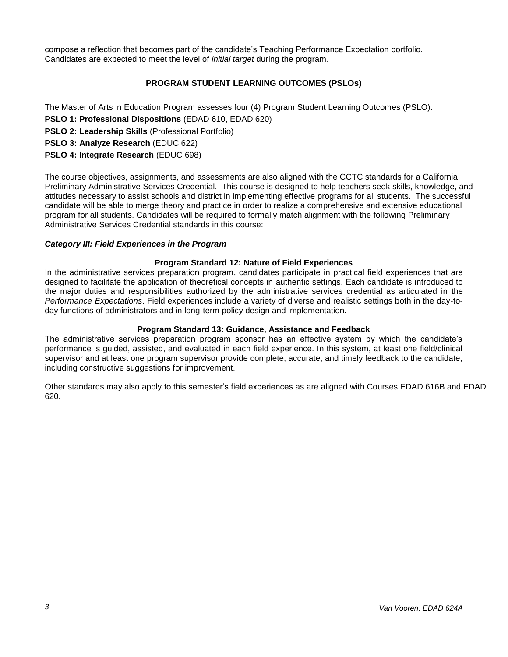compose a reflection that becomes part of the candidate's Teaching Performance Expectation portfolio. Candidates are expected to meet the level of *initial target* during the program.

# **PROGRAM STUDENT LEARNING OUTCOMES (PSLOs)**

The Master of Arts in Education Program assesses four (4) Program Student Learning Outcomes (PSLO).

- **PSLO 1: Professional Dispositions** (EDAD 610, EDAD 620)
- **PSLO 2: Leadership Skills** (Professional Portfolio)
- **PSLO 3: Analyze Research** (EDUC 622)

# **PSLO 4: Integrate Research** (EDUC 698)

The course objectives, assignments, and assessments are also aligned with the CCTC standards for a California Preliminary Administrative Services Credential. This course is designed to help teachers seek skills, knowledge, and attitudes necessary to assist schools and district in implementing effective programs for all students. The successful candidate will be able to merge theory and practice in order to realize a comprehensive and extensive educational program for all students. Candidates will be required to formally match alignment with the following Preliminary Administrative Services Credential standards in this course:

### *Category III: Field Experiences in the Program*

### **Program Standard 12: Nature of Field Experiences**

In the administrative services preparation program, candidates participate in practical field experiences that are designed to facilitate the application of theoretical concepts in authentic settings. Each candidate is introduced to the major duties and responsibilities authorized by the administrative services credential as articulated in the *Performance Expectations*. Field experiences include a variety of diverse and realistic settings both in the day-today functions of administrators and in long-term policy design and implementation.

#### **Program Standard 13: Guidance, Assistance and Feedback**

The administrative services preparation program sponsor has an effective system by which the candidate's performance is guided, assisted, and evaluated in each field experience. In this system, at least one field/clinical supervisor and at least one program supervisor provide complete, accurate, and timely feedback to the candidate, including constructive suggestions for improvement.

Other standards may also apply to this semester's field experiences as are aligned with Courses EDAD 616B and EDAD 620.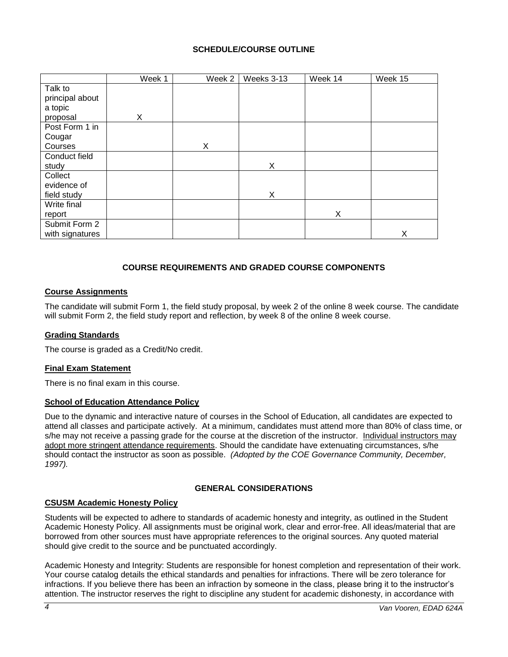## **SCHEDULE/COURSE OUTLINE**

|                 | Week 1 | Week 2 | Weeks 3-13 | Week 14 | Week 15 |
|-----------------|--------|--------|------------|---------|---------|
| Talk to         |        |        |            |         |         |
| principal about |        |        |            |         |         |
| a topic         |        |        |            |         |         |
| proposal        | X      |        |            |         |         |
| Post Form 1 in  |        |        |            |         |         |
| Cougar          |        |        |            |         |         |
| Courses         |        | X      |            |         |         |
| Conduct field   |        |        |            |         |         |
| study           |        |        | X          |         |         |
| Collect         |        |        |            |         |         |
| evidence of     |        |        |            |         |         |
| field study     |        |        | X          |         |         |
| Write final     |        |        |            |         |         |
| report          |        |        |            | X       |         |
| Submit Form 2   |        |        |            |         |         |
| with signatures |        |        |            |         | X       |

# **COURSE REQUIREMENTS AND GRADED COURSE COMPONENTS**

### **Course Assignments**

The candidate will submit Form 1, the field study proposal, by week 2 of the online 8 week course. The candidate will submit Form 2, the field study report and reflection, by week 8 of the online 8 week course.

#### **Grading Standards**

The course is graded as a Credit/No credit.

#### **Final Exam Statement**

There is no final exam in this course.

## **School of Education Attendance Policy**

Due to the dynamic and interactive nature of courses in the School of Education, all candidates are expected to attend all classes and participate actively. At a minimum, candidates must attend more than 80% of class time, or s/he may not receive a passing grade for the course at the discretion of the instructor. Individual instructors may adopt more stringent attendance requirements. Should the candidate have extenuating circumstances, s/he should contact the instructor as soon as possible. *(Adopted by the COE Governance Community, December, 1997).*

#### **GENERAL CONSIDERATIONS**

#### **CSUSM Academic Honesty Policy**

Students will be expected to adhere to standards of academic honesty and integrity, as outlined in the Student Academic Honesty Policy. All assignments must be original work, clear and error-free. All ideas/material that are borrowed from other sources must have appropriate references to the original sources. Any quoted material should give credit to the source and be punctuated accordingly.

Academic Honesty and Integrity: Students are responsible for honest completion and representation of their work. Your course catalog details the ethical standards and penalties for infractions. There will be zero tolerance for infractions. If you believe there has been an infraction by someone in the class, please bring it to the instructor's attention. The instructor reserves the right to discipline any student for academic dishonesty, in accordance with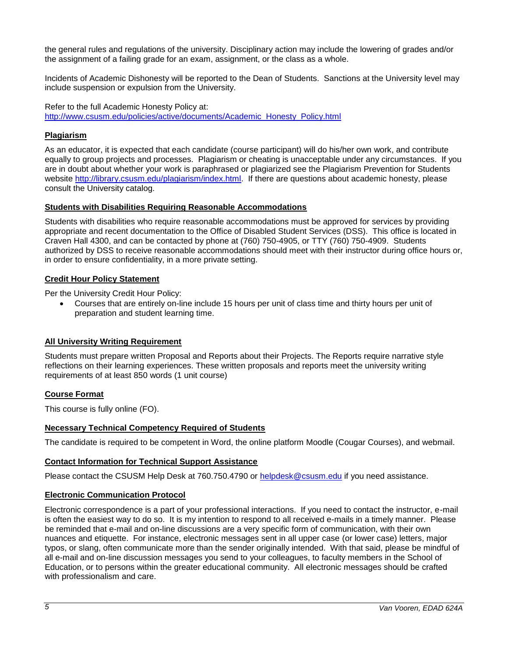the general rules and regulations of the university. Disciplinary action may include the lowering of grades and/or the assignment of a failing grade for an exam, assignment, or the class as a whole.

Incidents of Academic Dishonesty will be reported to the Dean of Students. Sanctions at the University level may include suspension or expulsion from the University.

Refer to the full Academic Honesty Policy at: [http://www.csusm.edu/policies/active/documents/Academic\\_Honesty\\_Policy.html](http://www.csusm.edu/policies/active/documents/Academic_Honesty_Policy.html)

# **Plagiarism**

As an educator, it is expected that each candidate (course participant) will do his/her own work, and contribute equally to group projects and processes. Plagiarism or cheating is unacceptable under any circumstances. If you are in doubt about whether your work is paraphrased or plagiarized see the Plagiarism Prevention for Students website [http://library.csusm.edu/plagiarism/index.html.](http://library.csusm.edu/plagiarism/index.html) If there are questions about academic honesty, please consult the University catalog.

## **Students with Disabilities Requiring Reasonable Accommodations**

Students with disabilities who require reasonable accommodations must be approved for services by providing appropriate and recent documentation to the Office of Disabled Student Services (DSS). This office is located in Craven Hall 4300, and can be contacted by phone at (760) 750-4905, or TTY (760) 750-4909. Students authorized by DSS to receive reasonable accommodations should meet with their instructor during office hours or, in order to ensure confidentiality, in a more private setting.

### **Credit Hour Policy Statement**

Per the University Credit Hour Policy:

 Courses that are entirely on-line include 15 hours per unit of class time and thirty hours per unit of preparation and student learning time.

## **All University Writing Requirement**

Students must prepare written Proposal and Reports about their Projects. The Reports require narrative style reflections on their learning experiences. These written proposals and reports meet the university writing requirements of at least 850 words (1 unit course)

#### **Course Format**

This course is fully online (FO).

# **Necessary Technical Competency Required of Students**

The candidate is required to be competent in Word, the online platform Moodle (Cougar Courses), and webmail.

## **Contact Information for Technical Support Assistance**

Please contact the CSUSM Help Desk at 760.750.4790 or [helpdesk@csusm.edu](mailto:helpdesk@csusm.edu) if you need assistance.

#### **Electronic Communication Protocol**

Electronic correspondence is a part of your professional interactions. If you need to contact the instructor, e-mail is often the easiest way to do so. It is my intention to respond to all received e-mails in a timely manner. Please be reminded that e-mail and on-line discussions are a very specific form of communication, with their own nuances and etiquette. For instance, electronic messages sent in all upper case (or lower case) letters, major typos, or slang, often communicate more than the sender originally intended. With that said, please be mindful of all e-mail and on-line discussion messages you send to your colleagues, to faculty members in the School of Education, or to persons within the greater educational community. All electronic messages should be crafted with professionalism and care.